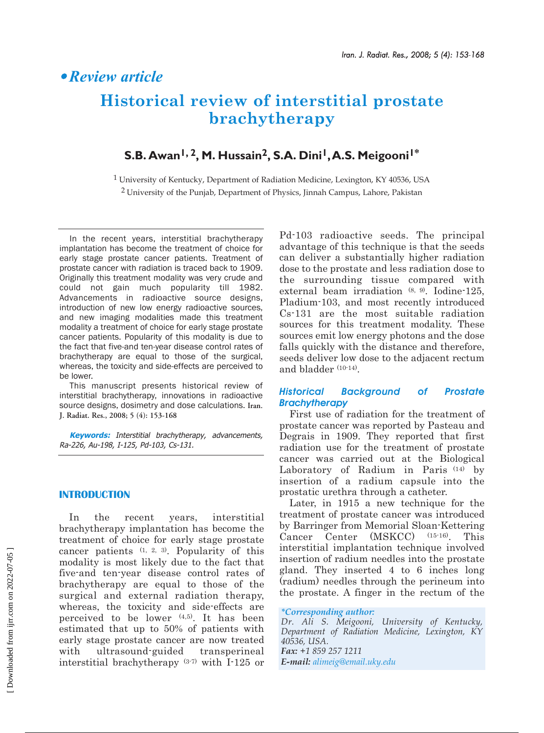# § *Review article*

# **Historical review of interstitial prostate brachytherapy**

# **S.B. Awan1, 2, M. Hussain2, S.A. Dini1,A.S. Meigooni1\***

1 University of Kentucky, Department of Radiation Medicine, Lexington, KY 40536, USA 2 University of the Punjab, Department of Physics, Jinnah Campus, Lahore, Pakistan

In the recent years, interstitial brachytherapy implantation has become the treatment of choice for early stage prostate cancer patients. Treatment of prostate cancer with radiation is traced back to 1909. Originally this treatment modality was very crude and could not gain much popularity till 1982. Advancements in radioactive source designs, introduction of new low energy radioactive sources, and new imaging modalities made this treatment modality a treatment of choice for early stage prostate cancer patients. Popularity of this modality is due to the fact that five-and ten-year disease control rates of brachytherapy are equal to those of the surgical, whereas, the toxicity and side-effects are perceived to be lower.

This manuscript presents historical review of interstitial brachytherapy, innovations in radioactive source designs, dosimetry and dose calculations. **Iran. J. Radiat. Res., 2008; 5 (4): 153-168**

**Keywords:** Interstitial brachytherapy, advancements, Ra-226, Au-198, I-125, Pd-103, Cs-131.

# **INTRODUCTION**

In the recent years, interstitial brachytherapy implantation has become the treatment of choice for early stage prostate cancer patients (1, 2, 3). Popularity of this modality is most likely due to the fact that five-and ten-year disease control rates of brachytherapy are equal to those of the surgical and external radiation therapy, whereas, the toxicity and side-effects are perceived to be lower  $(4,5)$ . It has been estimated that up to 50% of patients with early stage prostate cancer are now treated with ultrasound-guided transperineal interstitial brachytherapy (3-7) with I-125 or

Pd-103 radioactive seeds. The principal advantage of this technique is that the seeds can deliver a substantially higher radiation dose to the prostate and less radiation dose to the surrounding tissue compared with external beam irradiation (8, 9). Iodine-125, Pladium-103, and most recently introduced Cs-131 are the most suitable radiation sources for this treatment modality. These sources emit low energy photons and the dose falls quickly with the distance and therefore, seeds deliver low dose to the adjacent rectum and bladder (10-14).

# *Historical Background of Prostate Brachytherapy*

First use of radiation for the treatment of prostate cancer was reported by Pasteau and Degrais in 1909. They reported that first radiation use for the treatment of prostate cancer was carried out at the Biological Laboratory of Radium in Paris (14) by insertion of a radium capsule into the prostatic urethra through a catheter.

Later, in 1915 a new technique for the treatment of prostate cancer was introduced by Barringer from Memorial Sloan-Kettering Cancer Center (MSKCC) (15-16). This interstitial implantation technique involved insertion of radium needles into the prostate gland. They inserted 4 to 6 inches long (radium) needles through the perineum into the prostate. A finger in the rectum of the

#### *\*Corresponding author:*

*Dr. Ali S. Meigooni, University of Kentucky, Department of Radiation Medicine, Lexington, KY 40536, USA. Fax: +1 859 257 1211 E-mail: alimeig@email.uky.edu*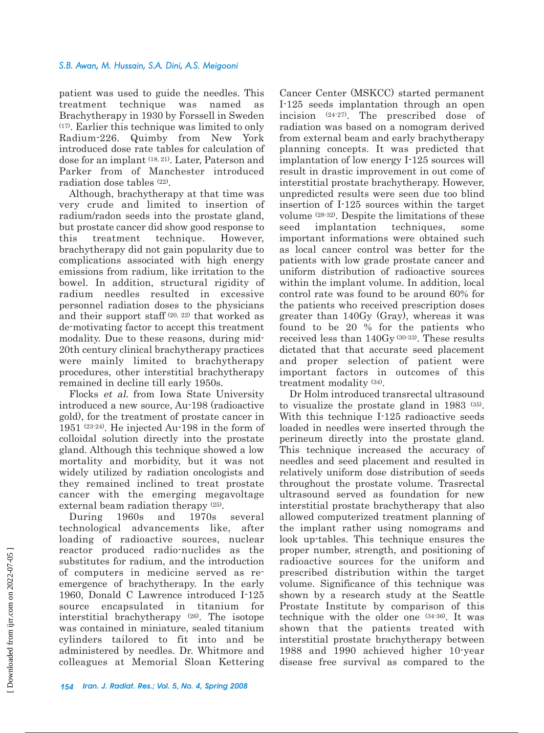patient was used to guide the needles. This treatment technique was named as Brachytherapy in 1930 by Forssell in Sweden (17). Earlier this technique was limited to only Radium-226. Quimby from New York introduced dose rate tables for calculation of dose for an implant (18, 21). Later, Paterson and Parker from of Manchester introduced radiation dose tables (22).

Although, brachytherapy at that time was very crude and limited to insertion of radium/radon seeds into the prostate gland, but prostate cancer did show good response to this treatment technique. However, brachytherapy did not gain popularity due to complications associated with high energy emissions from radium, like irritation to the bowel. In addition, structural rigidity of radium needles resulted in excessive personnel radiation doses to the physicians and their support staff (20, 22) that worked as de-motivating factor to accept this treatment modality. Due to these reasons, during mid-20th century clinical brachytherapy practices were mainly limited to brachytherapy procedures, other interstitial brachytherapy remained in decline till early 1950s.

Flocks et al. from Iowa State University introduced a new source, Au-198 (radioactive gold), for the treatment of prostate cancer in 1951 (23-24). He injected Au-198 in the form of colloidal solution directly into the prostate gland. Although this technique showed a low mortality and morbidity, but it was not widely utilized by radiation oncologists and they remained inclined to treat prostate cancer with the emerging megavoltage external beam radiation therapy (25).

During 1960s and 1970s several technological advancements like, after loading of radioactive sources, nuclear reactor produced radio-nuclides as the substitutes for radium, and the introduction of computers in medicine served as reemergence of brachytherapy. In the early 1960, Donald C Lawrence introduced I-125 source encapsulated in titanium for interstitial brachytherapy (26). The isotope was contained in miniature, sealed titanium cylinders tailored to fit into and be administered by needles. Dr. Whitmore and colleagues at Memorial Sloan Kettering

Cancer Center (MSKCC) started permanent I-125 seeds implantation through an open incision (24-27). The prescribed dose of radiation was based on a nomogram derived from external beam and early brachytherapy planning concepts. It was predicted that implantation of low energy I-125 sources will result in drastic improvement in out come of interstitial prostate brachytherapy. However, unpredicted results were seen due too blind insertion of I-125 sources within the target volume (28-32). Despite the limitations of these seed implantation techniques, some important informations were obtained such as local cancer control was better for the patients with low grade prostate cancer and uniform distribution of radioactive sources within the implant volume. In addition, local control rate was found to be around 60% for the patients who received prescription doses greater than 140Gy (Gray), whereas it was found to be 20 % for the patients who received less than 140Gy (30-33). These results dictated that that accurate seed placement and proper selection of patient were important factors in outcomes of this treatment modality (34).

Dr Holm introduced transrectal ultrasound to visualize the prostate gland in 1983 (35). With this technique I-125 radioactive seeds loaded in needles were inserted through the perineum directly into the prostate gland. This technique increased the accuracy of needles and seed placement and resulted in relatively uniform dose distribution of seeds throughout the prostate volume. Trasrectal ultrasound served as foundation for new interstitial prostate brachytherapy that also allowed computerized treatment planning of the implant rather using nomograms and look up-tables. This technique ensures the proper number, strength, and positioning of radioactive sources for the uniform and prescribed distribution within the target volume. Significance of this technique was shown by a research study at the Seattle Prostate Institute by comparison of this technique with the older one (34-36). It was shown that the patients treated with interstitial prostate brachytherapy between 1988 and 1990 achieved higher 10-year disease free survival as compared to the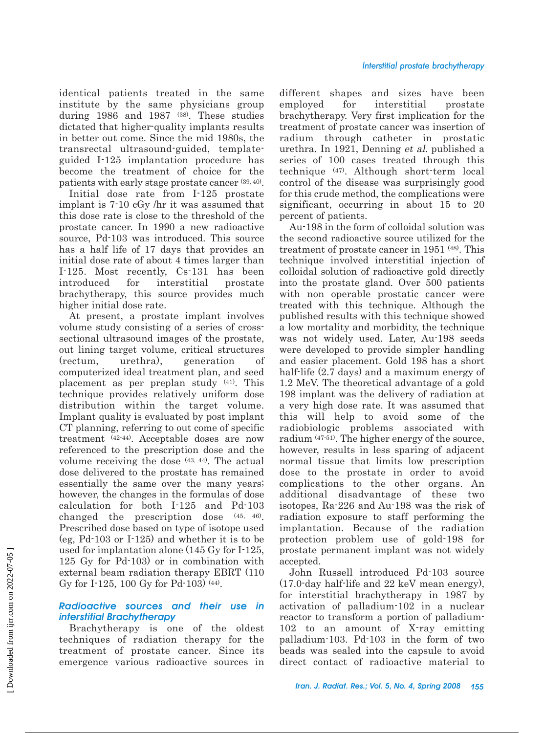identical patients treated in the same institute by the same physicians group during 1986 and 1987 (38). These studies dictated that higher-quality implants results in better out come. Since the mid 1980s, the transrectal ultrasound-guided, templateguided I-125 implantation procedure has become the treatment of choice for the patients with early stage prostate cancer (39, 40).

Initial dose rate from I-125 prostate implant is 7-10 cGy /hr it was assumed that this dose rate is close to the threshold of the prostate cancer. In 1990 a new radioactive source, Pd-103 was introduced. This source has a half life of 17 days that provides an initial dose rate of about 4 times larger than I-125. Most recently, Cs-131 has been introduced for interstitial prostate brachytherapy, this source provides much higher initial dose rate.

At present, a prostate implant involves volume study consisting of a series of crosssectional ultrasound images of the prostate, out lining target volume, critical structures (rectum, urethra), generation of computerized ideal treatment plan, and seed placement as per preplan study (41). This technique provides relatively uniform dose distribution within the target volume. Implant quality is evaluated by post implant CT planning, referring to out come of specific treatment (42-44). Acceptable doses are now referenced to the prescription dose and the volume receiving the dose (43, 44). The actual dose delivered to the prostate has remained essentially the same over the many years; however, the changes in the formulas of dose calculation for both I-125 and Pd-103 changed the prescription dose (45, 46). Prescribed dose based on type of isotope used (eg, Pd-103 or I-125) and whether it is to be used for implantation alone (145 Gy for I-125, 125 Gy for Pd-103) or in combination with external beam radiation therapy EBRT (110 Gy for I-125, 100 Gy for Pd-103) (44).

# *Radioactive sources and their use in interstitial Brachytherapy*

Brachytherapy is one of the oldest techniques of radiation therapy for the treatment of prostate cancer. Since its emergence various radioactive sources in

different shapes and sizes have been employed for interstitial prostate brachytherapy. Very first implication for the treatment of prostate cancer was insertion of radium through catheter in prostatic urethra. In 1921, Denning et al. published a series of 100 cases treated through this technique (47). Although short-term local control of the disease was surprisingly good for this crude method, the complications were significant, occurring in about 15 to 20 percent of patients.

Au-198 in the form of colloidal solution was the second radioactive source utilized for the treatment of prostate cancer in 1951 (48). This technique involved interstitial injection of colloidal solution of radioactive gold directly into the prostate gland. Over 500 patients with non operable prostatic cancer were treated with this technique. Although the published results with this technique showed a low mortality and morbidity, the technique was not widely used. Later, Au-198 seeds were developed to provide simpler handling and easier placement. Gold 198 has a short half-life (2.7 days) and a maximum energy of 1.2 MeV. The theoretical advantage of a gold 198 implant was the delivery of radiation at a very high dose rate. It was assumed that this will help to avoid some of the radiobiologic problems associated with radium (47-51). The higher energy of the source, however, results in less sparing of adjacent normal tissue that limits low prescription dose to the prostate in order to avoid complications to the other organs. An additional disadvantage of these two isotopes, Ra-226 and Au-198 was the risk of radiation exposure to staff performing the implantation. Because of the radiation protection problem use of gold-198 for prostate permanent implant was not widely accepted.

John Russell introduced Pd-103 source (17.0-day half-life and 22 keV mean energy), for interstitial brachytherapy in 1987 by activation of palladium-102 in a nuclear reactor to transform a portion of palladium-102 to an amount of X-ray emitting palladium-103. Pd-103 in the form of two beads was sealed into the capsule to avoid direct contact of radioactive material to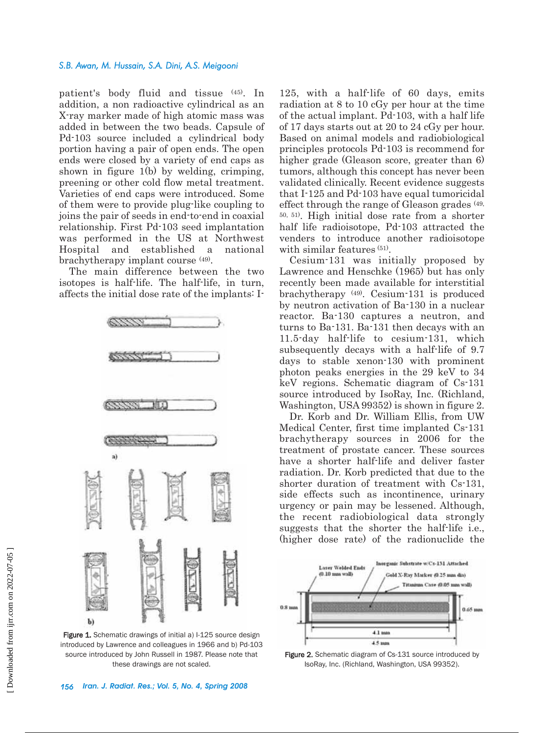patient's body fluid and tissue (45). In addition, a non radioactive cylindrical as an X-ray marker made of high atomic mass was added in between the two beads. Capsule of Pd-103 source included a cylindrical body portion having a pair of open ends. The open ends were closed by a variety of end caps as shown in figure 1(b) by welding, crimping, preening or other cold flow metal treatment. Varieties of end caps were introduced. Some of them were to provide plug-like coupling to joins the pair of seeds in end-to-end in coaxial relationship. First Pd-103 seed implantation was performed in the US at Northwest Hospital and established a national brachytherapy implant course (49).

The main difference between the two isotopes is half-life. The half-life, in turn, affects the initial dose rate of the implants: I-



Figure 1. Schematic drawings of initial a) I-125 source design introduced by Lawrence and colleagues in 1966 and b) Pd-103 source introduced by John Russell in 1987. Please note that these drawings are not scaled.

125, with a half-life of 60 days, emits radiation at 8 to 10 cGy per hour at the time of the actual implant. Pd-103, with a half life of 17 days starts out at 20 to 24 cGy per hour. Based on animal models and radiobiological principles protocols Pd-103 is recommend for higher grade (Gleason score, greater than 6) tumors, although this concept has never been validated clinically. Recent evidence suggests that I-125 and Pd-103 have equal tumoricidal effect through the range of Gleason grades (49, 50, 51). High initial dose rate from a shorter half life radioisotope, Pd-103 attracted the venders to introduce another radioisotope with similar features (51).

Cesium-131 was initially proposed by Lawrence and Henschke (1965) but has only recently been made available for interstitial brachytherapy (49). Cesium-131 is produced by neutron activation of Ba-130 in a nuclear reactor. Ba-130 captures a neutron, and turns to Ba-131. Ba-131 then decays with an 11.5-day half-life to cesium-131, which subsequently decays with a half-life of 9.7 days to stable xenon-130 with prominent photon peaks energies in the 29 keV to 34 keV regions. Schematic diagram of Cs-131 source introduced by IsoRay, Inc. (Richland, Washington, USA 99352) is shown in figure 2.

Dr. Korb and Dr. William Ellis, from UW Medical Center, first time implanted Cs-131 brachytherapy sources in 2006 for the treatment of prostate cancer. These sources have a shorter half-life and deliver faster radiation. Dr. Korb predicted that due to the shorter duration of treatment with Cs-131, side effects such as incontinence, urinary urgency or pain may be lessened. Although, the recent radiobiological data strongly suggests that the shorter the half-life i.e., (higher dose rate) of the radionuclide the



Figure 2. Schematic diagram of Cs-131 source introduced by IsoRay, Inc. (Richland, Washington, USA 99352).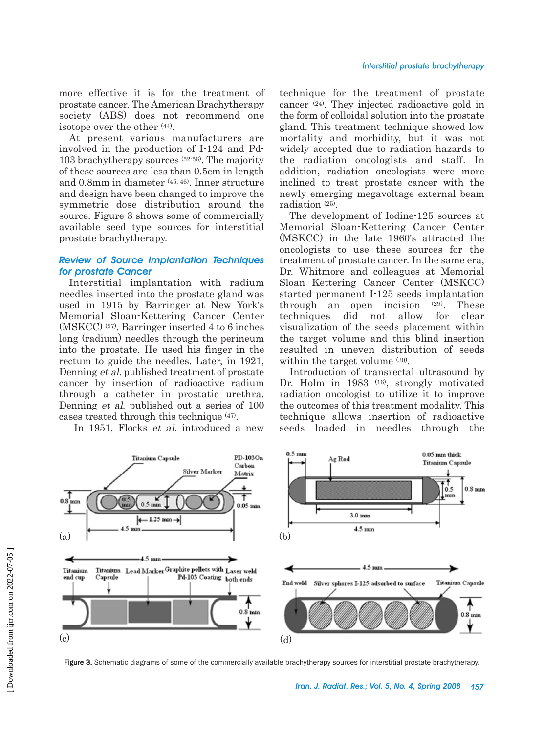more effective it is for the treatment of prostate cancer. The American Brachytherapy society (ABS) does not recommend one isotope over the other (44).

At present various manufacturers are involved in the production of I-124 and Pd-103 brachytherapy sources (52-56). The majority of these sources are less than 0.5cm in length and 0.8mm in diameter (45, 46). Inner structure and design have been changed to improve the symmetric dose distribution around the source. Figure 3 shows some of commercially available seed type sources for interstitial prostate brachytherapy.

# *Review of Source Implantation Techniques for prostate Cancer*

Interstitial implantation with radium needles inserted into the prostate gland was used in 1915 by Barringer at New York's Memorial Sloan-Kettering Cancer Center (MSKCC) (57). Barringer inserted 4 to 6 inches long (radium) needles through the perineum into the prostate. He used his finger in the rectum to guide the needles. Later, in 1921, Denning et al. published treatment of prostate cancer by insertion of radioactive radium through a catheter in prostatic urethra. Denning et al. published out a series of 100 cases treated through this technique (47).

In 1951, Flocks et al. introduced a new

technique for the treatment of prostate cancer (24). They injected radioactive gold in the form of colloidal solution into the prostate gland. This treatment technique showed low mortality and morbidity, but it was not widely accepted due to radiation hazards to the radiation oncologists and staff. In addition, radiation oncologists were more inclined to treat prostate cancer with the newly emerging megavoltage external beam radiation (25).

The development of Iodine-125 sources at Memorial Sloan-Kettering Cancer Center (MSKCC) in the late 1960's attracted the oncologists to use these sources for the treatment of prostate cancer. In the same era, Dr. Whitmore and colleagues at Memorial Sloan Kettering Cancer Center (MSKCC) started permanent I-125 seeds implantation through an open incision (29). These techniques did not allow for clear visualization of the seeds placement within the target volume and this blind insertion resulted in uneven distribution of seeds within the target volume  $(30)$ .

Introduction of transrectal ultrasound by Dr. Holm in 1983<sup>(16)</sup>, strongly motivated radiation oncologist to utilize it to improve the outcomes of this treatment modality. This technique allows insertion of radioactive seeds loaded in needles through the



Figure 3. Schematic diagrams of some of the commercially available brachytherapy sources for interstitial prostate brachytherapy.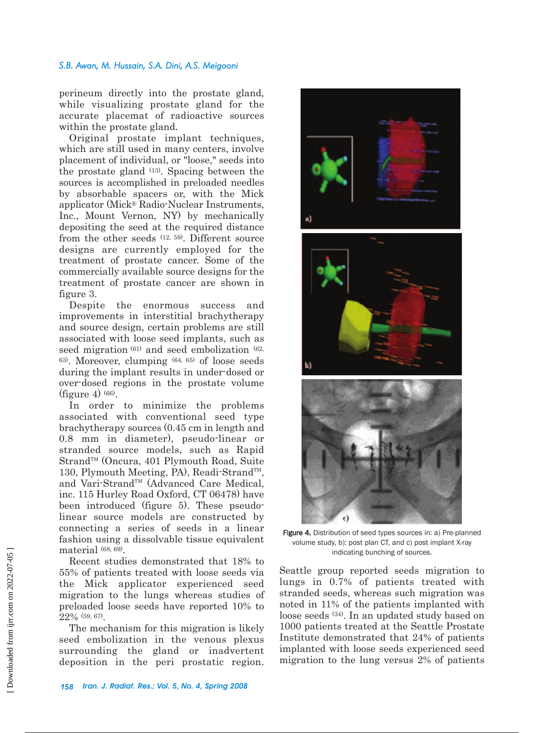perineum directly into the prostate gland, while visualizing prostate gland for the accurate placemat of radioactive sources within the prostate gland.

Original prostate implant techniques, which are still used in many centers, involve placement of individual, or "loose," seeds into the prostate gland (13). Spacing between the sources is accomplished in preloaded needles by absorbable spacers or, with the Mick applicator (Mick® Radio-Nuclear Instruments, Inc., Mount Vernon, NY) by mechanically depositing the seed at the required distance from the other seeds (12, 59). Different source designs are currently employed for the treatment of prostate cancer. Some of the commercially available source designs for the treatment of prostate cancer are shown in figure 3.

Despite the enormous success and improvements in interstitial brachytherapy and source design, certain problems are still associated with loose seed implants, such as seed migration <sup>(61)</sup> and seed embolization <sup>(62)</sup> 63). Moreover, clumping (64, 65) of loose seeds during the implant results in under-dosed or over-dosed regions in the prostate volume (figure 4)  $(66)$ .

In order to minimize the problems associated with conventional seed type brachytherapy sources (0.45 cm in length and 0.8 mm in diameter), pseudo-linear or stranded source models, such as Rapid Strand™ (Oncura, 401 Plymouth Road, Suite 130, Plymouth Meeting, PA), Readi-Strand<sup>TM</sup>, and Vari-Strand™ (Advanced Care Medical, inc. 115 Hurley Road Oxford, CT 06478) have been introduced (figure 5). These pseudolinear source models are constructed by connecting a series of seeds in a linear fashion using a dissolvable tissue equivalent material (68, 69).

Recent studies demonstrated that 18% to 55% of patients treated with loose seeds via the Mick applicator experienced seed migration to the lungs whereas studies of preloaded loose seeds have reported 10% to 22% (59, 67).

The mechanism for this migration is likely seed embolization in the venous plexus surrounding the gland or inadvertent deposition in the peri prostatic region.







Figure 4. Distribution of seed types sources in: a) Pre-planned volume study, b): post plan CT, and c) post implant X-ray indicating bunching of sources.

Seattle group reported seeds migration to lungs in 0.7% of patients treated with stranded seeds, whereas such migration was noted in 11% of the patients implanted with loose seeds (34). In an updated study based on 1000 patients treated at the Seattle Prostate Institute demonstrated that 24% of patients implanted with loose seeds experienced seed migration to the lung versus 2% of patients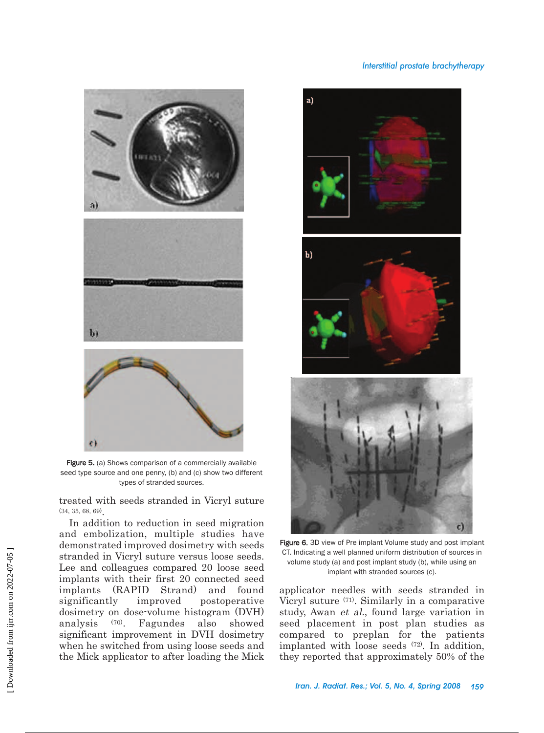## *Interstitial prostate brachytherapy*



Figure 5. (a) Shows comparison of a commercially available seed type source and one penny, (b) and (c) show two different types of stranded sources.

treated with seeds stranded in Vicryl suture (34, 35, 68, 69).

In addition to reduction in seed migration and embolization, multiple studies have demonstrated improved dosimetry with seeds stranded in Vicryl suture versus loose seeds. Lee and colleagues compared 20 loose seed implants with their first 20 connected seed implants (RAPID Strand) and found significantly improved postoperative dosimetry on dose-volume histogram (DVH) analysis (70). Fagundes also showed significant improvement in DVH dosimetry when he switched from using loose seeds and the Mick applicator to after loading the Mick







Figure 6. 3D view of Pre implant Volume study and post implant CT. Indicating a well planned uniform distribution of sources in volume study (a) and post implant study (b), while using an implant with stranded sources (c).

applicator needles with seeds stranded in Vicryl suture (71). Similarly in a comparative study, Awan et al., found large variation in seed placement in post plan studies as compared to preplan for the patients implanted with loose seeds (72). In addition, they reported that approximately 50% of the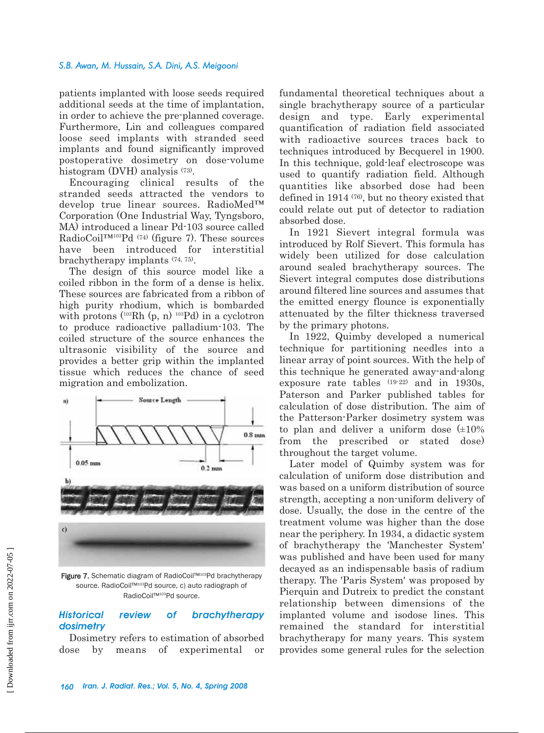patients implanted with loose seeds required additional seeds at the time of implantation, in order to achieve the pre-planned coverage. Furthermore, Lin and colleagues compared loose seed implants with stranded seed implants and found significantly improved postoperative dosimetry on dose-volume histogram (DVH) analysis (73).

Encouraging clinical results of the stranded seeds attracted the vendors to develop true linear sources. RadioMed™ Corporation (One Industrial Way, Tyngsboro, MA) introduced a linear Pd-103 source called RadioCoil™103Pd (74) (figure 7). These sources have been introduced for interstitial brachytherapy implants (74, 75).

The design of this source model like a coiled ribbon in the form of a dense is helix. These sources are fabricated from a ribbon of high purity rhodium, which is bombarded with protons  $(^{103}Rh (p, n)^{103}Pd)$  in a cyclotron to produce radioactive palladium-103. The coiled structure of the source enhances the ultrasonic visibility of the source and provides a better grip within the implanted tissue which reduces the chance of seed migration and embolization.



Figure 7. Schematic diagram of RadioCoil™<sup>103</sup>Pd brachytherapy source. RadioCoil™<sup>103</sup>Pd source, c) auto radiograph of RadioCoil™<sup>103</sup>Pd source.

# *Historical review of brachytherapy dosimetry*

Dosimetry refers to estimation of absorbed dose by means of experimental or fundamental theoretical techniques about a single brachytherapy source of a particular design and type. Early experimental quantification of radiation field associated with radioactive sources traces back to techniques introduced by Becquerel in 1900. In this technique, gold-leaf electroscope was used to quantify radiation field. Although quantities like absorbed dose had been defined in 1914 (76), but no theory existed that could relate out put of detector to radiation absorbed dose.

In 1921 Sievert integral formula was introduced by Rolf Sievert. This formula has widely been utilized for dose calculation around sealed brachytherapy sources. The Sievert integral computes dose distributions around filtered line sources and assumes that the emitted energy flounce is exponentially attenuated by the filter thickness traversed by the primary photons.

In 1922, Quimby developed a numerical technique for partitioning needles into a linear array of point sources. With the help of this technique he generated away-and-along exposure rate tables (19-22) and in 1930s, Paterson and Parker published tables for calculation of dose distribution. The aim of the Patterson-Parker dosimetry system was to plan and deliver a uniform dose  $(\pm 10\%$ from the prescribed or stated dose) throughout the target volume.

Later model of Quimby system was for calculation of uniform dose distribution and was based on a uniform distribution of source strength, accepting a non-uniform delivery of dose. Usually, the dose in the centre of the treatment volume was higher than the dose near the periphery. In 1934, a didactic system of brachytherapy the 'Manchester System' was published and have been used for many decayed as an indispensable basis of radium therapy. The 'Paris System' was proposed by Pierquin and Dutreix to predict the constant relationship between dimensions of the implanted volume and isodose lines. This remained the standard for interstitial brachytherapy for many years. This system provides some general rules for the selection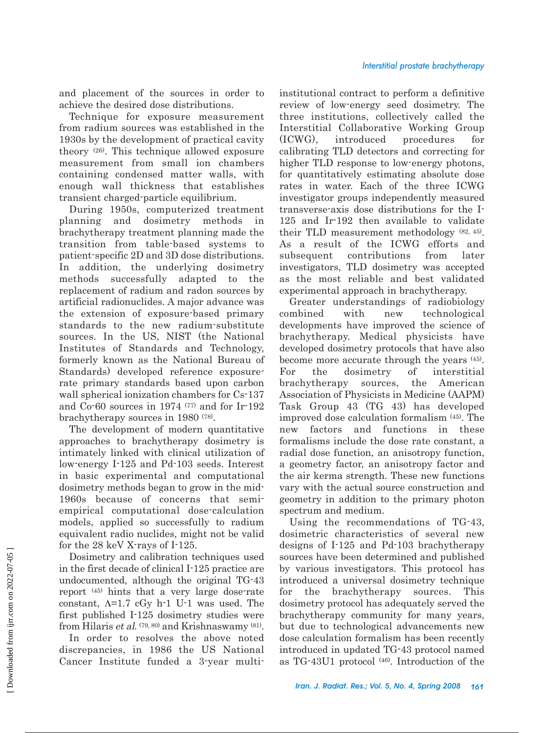and placement of the sources in order to achieve the desired dose distributions.

Technique for exposure measurement from radium sources was established in the 1930s by the development of practical cavity theory (26). This technique allowed exposure measurement from small ion chambers containing condensed matter walls, with enough wall thickness that establishes transient charged-particle equilibrium.

During 1950s, computerized treatment planning and dosimetry methods in brachytherapy treatment planning made the transition from table-based systems to patient-specific 2D and 3D dose distributions. In addition, the underlying dosimetry methods successfully adapted to the replacement of radium and radon sources by artificial radionuclides. A major advance was the extension of exposure-based primary standards to the new radium-substitute sources. In the US, NIST (the National Institutes of Standards and Technology, formerly known as the National Bureau of Standards) developed reference exposurerate primary standards based upon carbon wall spherical ionization chambers for Cs-137 and Co-60 sources in 1974 (77) and for Ir-192 brachytherapy sources in 1980 (78).

The development of modern quantitative approaches to brachytherapy dosimetry is intimately linked with clinical utilization of low-energy I-125 and Pd-103 seeds. Interest in basic experimental and computational dosimetry methods began to grow in the mid-1960s because of concerns that semiempirical computational dose-calculation models, applied so successfully to radium equivalent radio nuclides, might not be valid for the 28 keV X-rays of I-125.

Dosimetry and calibration techniques used in the first decade of clinical I-125 practice are undocumented, although the original TG-43 report (45) hints that a very large dose-rate constant,  $\Lambda$ =1.7 cGy h-1 U-1 was used. The first published I-125 dosimetry studies were from Hilaris et al. (79, 80) and Krishnaswamy (81).

In order to resolves the above noted discrepancies, in 1986 the US National Cancer Institute funded a 3-year multiinstitutional contract to perform a definitive review of low-energy seed dosimetry. The three institutions, collectively called the Interstitial Collaborative Working Group (ICWG), introduced procedures for calibrating TLD detectors and correcting for higher TLD response to low-energy photons, for quantitatively estimating absolute dose rates in water. Each of the three ICWG investigator groups independently measured transverse-axis dose distributions for the I-125 and Ir-192 then available to validate their TLD measurement methodology (82, 45). As a result of the ICWG efforts and subsequent contributions from later investigators, TLD dosimetry was accepted as the most reliable and best validated experimental approach in brachytherapy.

Greater understandings of radiobiology combined with new technological developments have improved the science of brachytherapy. Medical physicists have developed dosimetry protocols that have also become more accurate through the years (45). For the dosimetry of interstitial brachytherapy sources, the American Association of Physicists in Medicine (AAPM) Task Group 43 (TG 43) has developed improved dose calculation formalism (45). The new factors and functions in these formalisms include the dose rate constant, a radial dose function, an anisotropy function, a geometry factor, an anisotropy factor and the air kerma strength. These new functions vary with the actual source construction and geometry in addition to the primary photon spectrum and medium.

Using the recommendations of TG-43, dosimetric characteristics of several new designs of I-125 and Pd-103 brachytherapy sources have been determined and published by various investigators. This protocol has introduced a universal dosimetry technique for the brachytherapy sources. This dosimetry protocol has adequately served the brachytherapy community for many years, but due to technological advancements new dose calculation formalism has been recently introduced in updated TG-43 protocol named as TG-43U1 protocol (46). Introduction of the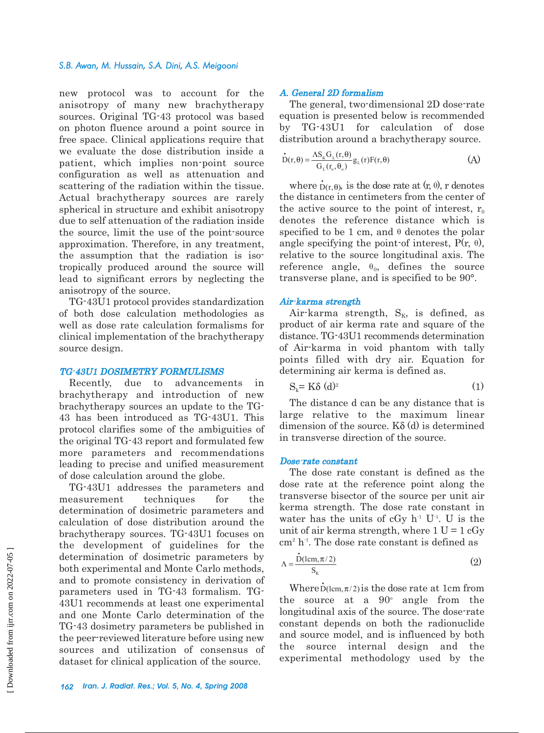new protocol was to account for the anisotropy of many new brachytherapy sources. Original TG-43 protocol was based on photon fluence around a point source in free space. Clinical applications require that we evaluate the dose distribution inside a patient, which implies non-point source configuration as well as attenuation and scattering of the radiation within the tissue. Actual brachytherapy sources are rarely spherical in structure and exhibit anisotropy due to self attenuation of the radiation inside the source, limit the use of the point-source approximation. Therefore, in any treatment, the assumption that the radiation is isotropically produced around the source will lead to significant errors by neglecting the anisotropy of the source.

TG-43U1 protocol provides standardization of both dose calculation methodologies as well as dose rate calculation formalisms for clinical implementation of the brachytherapy source design.

#### TG-43U1 DOSIMETRY FORMULISMS

Recently, due to advancements in brachytherapy and introduction of new brachytherapy sources an update to the TG-43 has been introduced as TG-43U1. This protocol clarifies some of the ambiguities of the original TG-43 report and formulated few more parameters and recommendations leading to precise and unified measurement of dose calculation around the globe.

TG-43U1 addresses the parameters and measurement techniques for the determination of dosimetric parameters and calculation of dose distribution around the brachytherapy sources. TG-43U1 focuses on the development of guidelines for the determination of dosimetric parameters by both experimental and Monte Carlo methods, and to promote consistency in derivation of parameters used in TG-43 formalism. TG-43U1 recommends at least one experimental and one Monte Carlo determination of the TG-43 dosimetry parameters be published in the peer-reviewed literature before using new sources and utilization of consensus of dataset for clinical application of the source.

#### A. General 2D formalism

The general, two-dimensional 2D dose-rate equation is presented below is recommended by TG-43U1 for calculation of dose distribution around a brachytherapy source.

$$
\dot{\mathbf{D}}(\mathbf{r}, \boldsymbol{\theta}) = \frac{\Lambda \mathbf{S}_{\mathbf{K}} \mathbf{G}_{\mathbf{L}}(\mathbf{r}, \boldsymbol{\theta})}{\mathbf{G}_{\mathbf{L}}(\mathbf{r}_{\mathrm{o}}, \boldsymbol{\theta}_{\mathrm{o}})} \mathbf{g}_{\mathbf{L}}(\mathbf{r}) \mathbf{F}(\mathbf{r}, \boldsymbol{\theta})
$$
(A)

where  $\dot{D}(r,\theta)$ , is the dose rate at  $(r, \theta)$ , r denotes the distance in centimeters from the center of the active source to the point of interest,  $r_0$ denotes the reference distance which is specified to be 1 cm, and  $\theta$  denotes the polar angle specifying the point-of interest,  $P(r, \theta)$ , relative to the source longitudinal axis. The reference angle,  $\theta_0$ , defines the source transverse plane, and is specified to be 90°.

#### Air-karma strength

Air-karma strength,  $S_K$ , is defined, as product of air kerma rate and square of the distance. TG-43U1 recommends determination of Air-karma in void phantom with tally points filled with dry air. Equation for determining air kerma is defined as.

$$
S_k = K\delta \ (d)^2 \tag{1}
$$

The distance d can be any distance that is large relative to the maximum linear dimension of the source.  $K\delta(d)$  is determined in transverse direction of the source.

#### Dose-rate constant

The dose rate constant is defined as the dose rate at the reference point along the transverse bisector of the source per unit air kerma strength. The dose rate constant in water has the units of cGy  $h^1$  U<sup>1</sup>. U is the unit of air kerma strength, where  $1 U = 1 cGy$ 

cm<sup>2</sup> h<sup>-1</sup>. The dose rate constant is defined as  
\n
$$
\Lambda = \frac{\dot{D}(lcm, \pi/2)}{S_{\kappa}}
$$
\n(2)

Where  $\dot{D}(\text{lcm}, \pi/2)$  is the dose rate at 1cm from the source at a  $90^\circ$  angle from the longitudinal axis of the source. The dose-rate constant depends on both the radionuclide and source model, and is influenced by both the source internal design and the experimental methodology used by the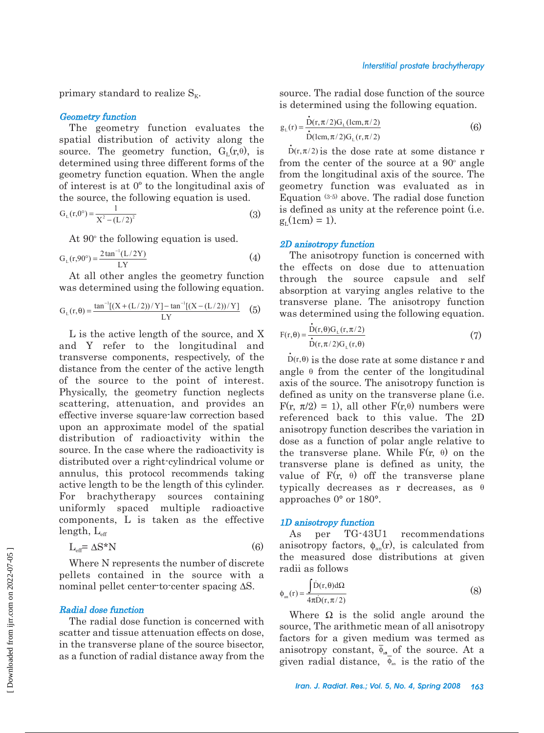primary standard to realize  $S_{K}$ .

#### Geometry function

The geometry function evaluates the spatial distribution of activity along the source. The geometry function,  $G_{L}(r,\theta)$ , is determined using three different forms of the geometry function equation. When the angle of interest is at 0º to the longitudinal axis of the source, the following equation is used.

$$
G_{L}(r,0^{\circ}) = \frac{1}{X^{2} - (L/2)^{2}}
$$
\n(3)

At  $90^\circ$  the following equation is used.

$$
G_{L}(r,90^{\circ}) = \frac{2 \tan^{-1}(L/2Y)}{LY}
$$
 (4)

At all other angles the geometry function was determined using the following equation.

$$
G_L(r,\theta) = \frac{\tan^{-1}[(X + (L/2))/Y] - \tan^{-1}[(X - (L/2))/Y]}{LY}
$$
 (5)

L is the active length of the source, and X and Y refer to the longitudinal and transverse components, respectively, of the distance from the center of the active length of the source to the point of interest. Physically, the geometry function neglects scattering, attenuation, and provides an effective inverse square-law correction based upon an approximate model of the spatial distribution of radioactivity within the source. In the case where the radioactivity is distributed over a right-cylindrical volume or annulus, this protocol recommends taking active length to be the length of this cylinder. For brachytherapy sources containing uniformly spaced multiple radioactive components, L is taken as the effective length,  $L_{\text{eff}}$ 

$$
L_{\text{eff}} = \Delta S^* N \tag{6}
$$

Where N represents the number of discrete pellets contained in the source with a nominal pellet center-to-center spacing ∆S.

#### Radial dose function

The radial dose function is concerned with scatter and tissue attenuation effects on dose, in the transverse plane of the source bisector, as a function of radial distance away from the source. The radial dose function of the source is determined using the following equation.

$$
g_{L}(r) = \frac{D(r, \pi/2)G_{L}(1cm, \pi/2)}{\dot{D}(1cm, \pi/2)G_{L}(r, \pi/2)}
$$
(6)

 $\dot{D}(\text{Icm}, \pi/2)G_{L}(\text{r}, \pi/2)$ <br> $\dot{D}(\text{r}, \pi/2)$  is the dose rate at some distance r from the center of the source at a  $90^{\circ}$  angle from the longitudinal axis of the source. The geometry function was evaluated as in Equation (3-5) above. The radial dose function is defined as unity at the reference point (i.e.  $g_L(1cm) = 1$ .

#### 2D anisotropy function

The anisotropy function is concerned with the effects on dose due to attenuation through the source capsule and self absorption at varying angles relative to the transverse plane. The anisotropy function was determined using the following equation.

$$
F(r,\theta) = \frac{D(r,\theta)G_{L}(r,\pi/2)}{\dot{D}(r,\pi/2)G_{L}(r,\theta)}
$$
(7)

 $\dot{D}(r,\theta)$  is the dose rate at some distance r and angle  $\theta$  from the center of the longitudinal axis of the source. The anisotropy function is defined as unity on the transverse plane (i.e.  $F(r, \pi/2) = 1$ , all other  $F(r, \theta)$  numbers were referenced back to this value. The 2D anisotropy function describes the variation in dose as a function of polar angle relative to the transverse plane. While  $F(r, \theta)$  on the transverse plane is defined as unity, the value of  $F(r, \theta)$  off the transverse plane typically decreases as r decreases, as  $\theta$ approaches 0° or 180°.

## 1D anisotropy function

As per TG-43U1 recommendations anisotropy factors,  $\phi_{an}(r)$ , is calculated from the measured dose distributions at given radii as follows

$$
\phi_{\text{an}}(\mathbf{r}) = \frac{\int \dot{\mathbf{D}}(\mathbf{r}, \theta) d\Omega}{4\pi \dot{\mathbf{D}}(\mathbf{r}, \pi/2)}
$$
(8)

Where  $\Omega$  is the solid angle around the source, The arithmetic mean of all anisotropy factors for a given medium was termed as anisotropy constant,  $\overline{\phi}_{aa}$  of the source. At a given radial distance,  $\phi_{an}$  is the ratio of the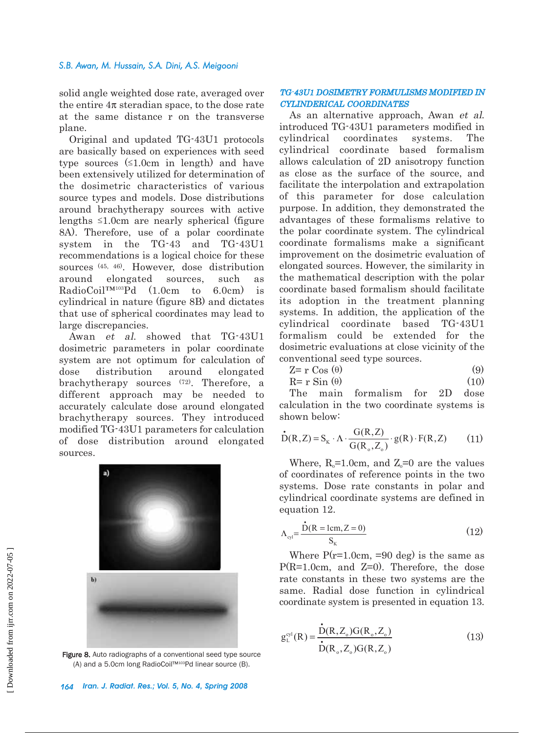solid angle weighted dose rate, averaged over the entire  $4\pi$  steradian space, to the dose rate at the same distance r on the transverse plane.

Original and updated TG-43U1 protocols are basically based on experiences with seed type sources  $(1.0cm)$  in length) and have been extensively utilized for determination of the dosimetric characteristics of various source types and models. Dose distributions around brachytherapy sources with active lengths  $\leq 1.0$ cm are nearly spherical (figure 8A). Therefore, use of a polar coordinate system in the TG-43 and TG-43U1 recommendations is a logical choice for these sources (45, 46). However, dose distribution around elongated sources, such as RadioCoil™103Pd (1.0cm to 6.0cm) is cylindrical in nature (figure 8B) and dictates that use of spherical coordinates may lead to large discrepancies.

Awan et al. showed that TG-43U1 dosimetric parameters in polar coordinate system are not optimum for calculation of dose distribution around elongated brachytherapy sources (72). Therefore, a different approach may be needed to accurately calculate dose around elongated brachytherapy sources. They introduced modified TG-43U1 parameters for calculation of dose distribution around elongated sources.



Figure 8. Auto radiographs of a conventional seed type source (A) and a 5.0cm long RadioCoil™103Pd linear source (B).

# TG-43U1 DOSIMETRY FORMULISMS MODIFIED IN CYLINDERICAL COORDINATES

As an alternative approach, Awan et al. introduced TG-43U1 parameters modified in cylindrical coordinates systems. The cylindrical coordinate based formalism allows calculation of 2D anisotropy function as close as the surface of the source, and facilitate the interpolation and extrapolation of this parameter for dose calculation purpose. In addition, they demonstrated the advantages of these formalisms relative to the polar coordinate system. The cylindrical coordinate formalisms make a significant improvement on the dosimetric evaluation of elongated sources. However, the similarity in the mathematical description with the polar coordinate based formalism should facilitate its adoption in the treatment planning systems. In addition, the application of the cylindrical coordinate based TG-43U1 formalism could be extended for the dosimetric evaluations at close vicinity of the conventional seed type sources.

$$
Z = r \cos(\theta) \tag{9}
$$

$$
R = r \sin(\theta) \tag{10}
$$

The main formalism for 2D dose calculation in the two coordinate systems is shown below:

$$
\dot{D}(R, Z) = S_K \cdot \Lambda \cdot \frac{G(R, Z)}{G(R_o, Z_o)} \cdot g(R) \cdot F(R, Z)
$$
 (11)

Where,  $R_0 = 1.0$ cm, and  $Z_0 = 0$  are the values of coordinates of reference points in the two systems. Dose rate constants in polar and cylindrical coordinate systems are defined in equation 12.

$$
\Lambda_{\text{cyl}} = \frac{\dot{D}(R = 1 \text{cm}, Z = 0)}{S_{\text{k}}}
$$
(12)

Where  $P(r=1.0cm, =90$  deg) is the same as P(R=1.0cm, and Z=0). Therefore, the dose rate constants in these two systems are the same. Radial dose function in cylindrical coordinate system is presented in equation 13.

$$
g_L^{cyl}(R) = \frac{\dot{D}(R, Z_o)G(R_o, Z_o)}{\dot{D}(R_o, Z_o)G(R, Z_o)}
$$
(13)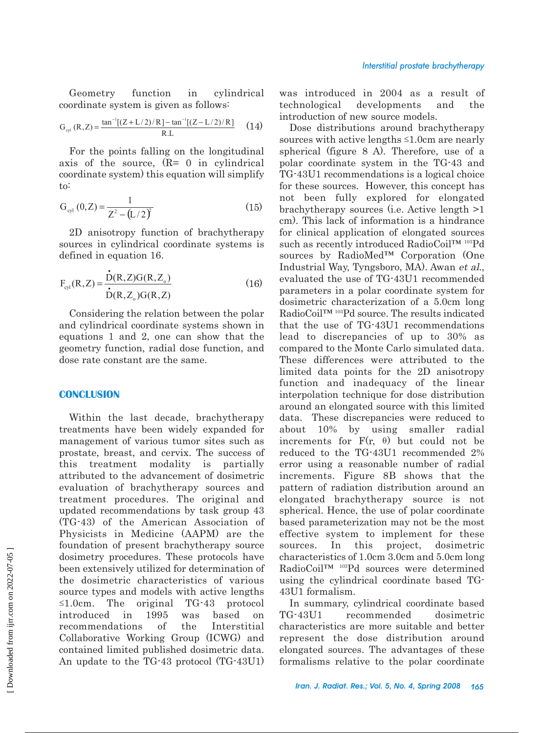Geometry function in cylindrical coordinate system is given as follows:

$$
G_{\text{cyl}}(R, Z) = \frac{\tan^{-1}[(Z + L/2)/R] - \tan^{-1}[(Z - L/2)/R]}{R.L}
$$
 (14)

For the points falling on the longitudinal axis of the source, (R= 0 in cylindrical coordinate system) this equation will simplify to:

$$
G_{\text{cyl}}(0, Z) = \frac{1}{Z^2 - (L/2)^2}
$$
 (15)

2D anisotropy function of brachytherapy sources in cylindrical coordinate systems is defined in equation 16.

$$
F_{cyl}(R, Z) = \frac{\dot{D}(R, Z)G(R, Z_o)}{\dot{D}(R, Z_o)G(R, Z)}
$$
(16)

Considering the relation between the polar and cylindrical coordinate systems shown in equations 1 and 2, one can show that the geometry function, radial dose function, and dose rate constant are the same.

#### **CONCLUSION**

Within the last decade, brachytherapy treatments have been widely expanded for management of various tumor sites such as prostate, breast, and cervix. The success of this treatment modality is partially attributed to the advancement of dosimetric evaluation of brachytherapy sources and treatment procedures. The original and updated recommendations by task group 43 (TG-43) of the American Association of Physicists in Medicine (AAPM) are the foundation of present brachytherapy source dosimetry procedures. These protocols have been extensively utilized for determination of the dosimetric characteristics of various source types and models with active lengths  $\leq 1.0$ cm. The original TG-43 protocol introduced in 1995 was based on recommendations of the Interstitial Collaborative Working Group (ICWG) and contained limited published dosimetric data. An update to the TG-43 protocol (TG-43U1)

was introduced in 2004 as a result of technological developments and the introduction of new source models.

Dose distributions around brachytherapy sources with active lengths  $\leq 1.0$ cm are nearly spherical (figure 8 A). Therefore, use of a polar coordinate system in the TG-43 and TG-43U1 recommendations is a logical choice for these sources. However, this concept has not been fully explored for elongated brachytherapy sources (i.e. Active length >1 cm). This lack of information is a hindrance for clinical application of elongated sources such as recently introduced RadioCoil™ <sup>103</sup>Pd sources by RadioMed™ Corporation (One Industrial Way, Tyngsboro, MA). Awan et al., evaluated the use of TG-43U1 recommended parameters in a polar coordinate system for dosimetric characterization of a 5.0cm long RadioCoil™ 103Pd source. The results indicated that the use of TG-43U1 recommendations lead to discrepancies of up to 30% as compared to the Monte Carlo simulated data. These differences were attributed to the limited data points for the 2D anisotropy function and inadequacy of the linear interpolation technique for dose distribution around an elongated source with this limited data. These discrepancies were reduced to about 10% by using smaller radial increments for  $F(r, \theta)$  but could not be reduced to the TG-43U1 recommended 2% error using a reasonable number of radial increments. Figure 8B shows that the pattern of radiation distribution around an elongated brachytherapy source is not spherical. Hence, the use of polar coordinate based parameterization may not be the most effective system to implement for these sources. In this project, dosimetric characteristics of 1.0cm 3.0cm and 5.0cm long RadioCoil™ 103Pd sources were determined using the cylindrical coordinate based TG-43U1 formalism.

In summary, cylindrical coordinate based TG-43U1 recommended dosimetric characteristics are more suitable and better represent the dose distribution around elongated sources. The advantages of these formalisms relative to the polar coordinate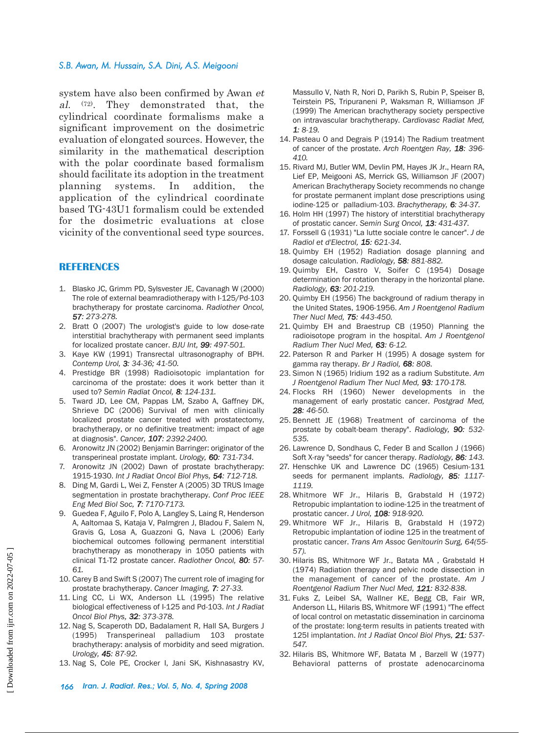system have also been confirmed by Awan et al. (72). They demonstrated that, the cylindrical coordinate formalisms make a significant improvement on the dosimetric evaluation of elongated sources. However, the similarity in the mathematical description with the polar coordinate based formalism should facilitate its adoption in the treatment planning systems. In addition, the application of the cylindrical coordinate based TG-43U1 formalism could be extended for the dosimetric evaluations at close vicinity of the conventional seed type sources.

## **REFERENCES**

- 1. Blasko JC, Grimm PD, Sylsvester JE, Cavanagh W (2000) The role of external beamradiotherapy with I-125/Pd-103 brachytherapy for prostate carcinoma. *Radiother Oncol, 57: 273-278.*
- 2. Bratt O (2007) The urologist's guide to low dose-rate interstitial brachytherapy with permanent seed implants for localized prostate cancer. *BJU Int, 99: 497-501.*
- 3. Kaye KW (1991) Transrectal ultrasonography of BPH. *Contemp Urol, 3: 34-36; 41-50.*
- 4. Prestidge BR (1998) Radioisotopic implantation for carcinoma of the prostate: does it work better than it used to? *Semin Radiat Oncol, 8: 124-131.*
- 5. Tward JD, Lee CM, Pappas LM, Szabo A, Gaffney DK, Shrieve DC (2006) Survival of men with clinically localized prostate cancer treated with prostatectomy, brachytherapy, or no definitive treatment: impact of age at diagnosis". *Cancer, 107: 2392-2400.*
- 6. Aronowitz JN (2002) Benjamin Barringer: originator of the transperineal prostate implant. *Urology, 60: 731-734.*
- 7. Aronowitz JN (2002) Dawn of prostate brachytherapy: 1915-1930. *Int J Radiat Oncol Biol Phys, 54: 712-718.*
- 8. Ding M, Gardi L, Wei Z, Fenster A (2005) 3D TRUS Image segmentation in prostate brachytherapy. *Conf Proc IEEE Eng Med Biol Soc, 7: 7170-7173.*
- 9. Guedea F, Aguilo F, Polo A, Langley S, Laing R, Henderson A, Aaltomaa S, Kataja V, Palmgren J, Bladou F, Salem N, Gravis G, Losa A, Guazzoni G, Nava L (2006) Early biochemical outcomes following permanent interstitial brachytherapy as monotherapy in 1050 patients with clinical T1-T2 prostate cancer. *Radiother Oncol, 80: 57- 61.*
- 10. Carey B and Swift S (2007) The current role of imaging for prostate brachytherapy. *Cancer Imaging, 7: 27-33.*
- 11. Ling CC, Li WX, Anderson LL (1995) The relative biological effectiveness of I-125 and Pd-103. *Int J Radiat Oncol Biol Phys, 32: 373-378.*
- 12. Nag S, Scaperoth DD, Badalament R, Hall SA, Burgers J (1995) Transperineal palladium 103 prostate brachytherapy: analysis of morbidity and seed migration. *Urology, 45: 87-92.*
- 13. Nag S, Cole PE, Crocker I, Jani SK, Kishnasastry KV,

Massullo V, Nath R, Nori D, Parikh S, Rubin P, Speiser B, Teirstein PS, Tripuraneni P, Waksman R, Williamson JF (1999) The American brachytherapy society perspective on intravascular brachytherapy. *Cardiovasc Radiat Med, 1: 8-19.*

- 14. Pasteau O and Degrais P (1914) The Radium treatment of cancer of the prostate. *Arch Roentgen Ray, 18: 396- 410.*
- 15. Rivard MJ, Butler WM, Devlin PM, Hayes JK Jr., Hearn RA, Lief EP, Meigooni AS, Merrick GS, Williamson JF (2007) American Brachytherapy Society recommends no change for prostate permanent implant dose prescriptions using iodine-125 or palladium-103. *Brachytherapy, 6: 34-37.*
- 16. Holm HH (1997) The history of interstitial brachytherapy of prostatic cancer. *Semin Surg Oncol, 13: 431-437.*
- 17. Forssell G (1931) "La lutte sociale contre le cancer". *J de Radiol et d'Electrol, 15: 621-34.*
- 18. Quimby EH (1952) Radiation dosage planning and dosage calculation. *Radiology, 58: 881-882.*
- 19. Quimby EH, Castro V, Soifer C (1954) Dosage determination for rotation therapy in the horizontal plane. *Radiology, 63: 201-219.*
- 20. Quimby EH (1956) The background of radium therapy in the United States, 1906-1956. *Am J Roentgenol Radium Ther Nucl Med, 75: 443-450.*
- 21. Quimby EH and Braestrup CB (1950) Planning the radioisotope program in the hospital. *Am J Roentgenol Radium Ther Nucl Med, 63: 6-12.*
- 22. Paterson R and Parker H (1995) A dosage system for gamma ray therapy. *Br J Radiol, 68: 808.*
- 23. Simon N (1965) Iridium 192 as a radium Substitute. *Am J Roentgenol Radium Ther Nucl Med, 93: 170-178.*
- 24. Flocks RH (1960) Newer developments in the management of early prostatic cancer. *Postgrad Med, 28: 46-50.*
- 25. Bennett JE (1968) Treatment of carcinoma of the prostate by cobalt-beam therapy". *Radiology, 90: 532- 535.*
- 26. Lawrence D, Sondhaus C, Feder B and Scallon J (1966) Soft X-ray "seeds" for cancer therapy. *Radiology, 86: 143.*
- 27. Henschke UK and Lawrence DC (1965) Cesium-131 seeds for permanent implants. *Radiology, 85: 1117- 1119.*
- 28. Whitmore WF Jr., Hilaris B, Grabstald H (1972) Retropubic implantation to iodine-125 in the treatment of prostatic cancer. *J Urol, 108: 918-920.*
- 29. Whitmore WF Jr., Hilaris B, Grabstald H (1972) Retropubic implantation of iodine 125 in the treatment of prostatic cancer. *Trans Am Assoc Genitourin Surg, 64(55- 57).*
- 30. Hilaris BS, Whitmore WF Jr., Batata MA , Grabstald H (1974) Radiation therapy and pelvic node dissection in the management of cancer of the prostate. *Am J Roentgenol Radium Ther Nucl Med, 121: 832-838.*
- 31. Fuks Z, Leibel SA, Wallner KE, Begg CB, Fair WR, Anderson LL, Hilaris BS, Whitmore WF (1991) "The effect of local control on metastatic dissemination in carcinoma of the prostate: long-term results in patients treated with 125I implantation. *Int J Radiat Oncol Biol Phys, 21: 537- 547.*
- 32. Hilaris BS, Whitmore WF, Batata M , Barzell W (1977) Behavioral patterns of prostate adenocarcinoma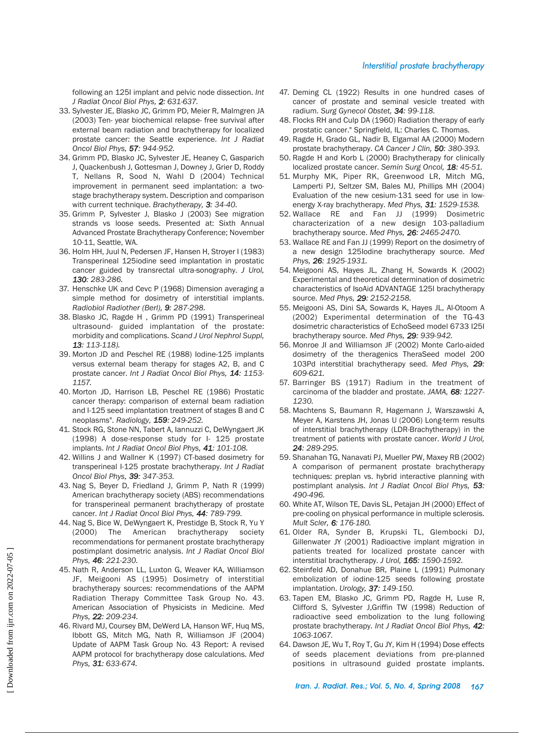#### *Interstitial prostate brachytherapy*

following an 125I implant and pelvic node dissection. *Int J Radiat Oncol Biol Phys, 2: 631-637.*

- 33. Sylvester JE, Blasko JC, Grimm PD, Meier R, Malmgren JA (2003) Ten- year biochemical relapse- free survival after external beam radiation and brachytherapy for localized prostate cancer: the Seattle experience. *Int J Radiat Oncol Biol Phys, 57: 944-952.*
- 34. Grimm PD, Blasko JC, Sylvester JE, Heaney C, Gasparich J, Quackenbush J, Gottesman J, Downey J, Grier D, Roddy T, Nellans R, Sood N, Wahl D (2004) Technical improvement in permanent seed implantation: a twostage brachytherapy system. Description and comparison with current technique. *Brachytherapy, 3: 34-40.*
- 35. Grimm P, Sylvester J, Blasko J (2003) See migration strands vs loose seeds. Presented at: Sixth Annual Advanced Prostate Brachytherapy Conference; November 10-11, Seattle, WA.
- 36. Holm HH, Juul N, Pedersen JF, Hansen H, Stroyer I (1983) Transperineal 125iodine seed implantation in prostatic cancer guided by transrectal ultra-sonography. *J Urol, 130: 283-286.*
- 37. Henschke UK and Cevc P (1968) Dimension averaging a simple method for dosimetry of interstitial implants. *Radiobiol Radiother (Berl), 9: 287-298.*
- 38. Blasko JC, Ragde H , Grimm PD (1991) Transperineal ultrasound- guided implantation of the prostate: morbidity and complications. *Scand J Urol Nephrol Suppl, 13: 113-118).*
- 39. Morton JD and Peschel RE (1988) Iodine-125 implants versus external beam therapy for stages A2, B, and C prostate cancer. *Int J Radiat Oncol Biol Phys, 14: 1153- 1157.*
- 40. Morton JD, Harrison LB, Peschel RE (1986) Prostatic cancer therapy: comparison of external beam radiation and I-125 seed implantation treatment of stages B and C neoplasms". *Radiology, 159: 249-252.*
- 41. Stock RG, Stone NN, Tabert A, Iannuzzi C, DeWyngaert JK (1998) A dose-response study for I- 125 prostate implants. *Int J Radiat Oncol Biol Phys, 41: 101-108.*
- 42. Willins J and Wallner K (1997) CT-based dosimetry for transperineal I-125 prostate brachytherapy. *Int J Radiat Oncol Biol Phys, 39: 347-353.*
- 43. Nag S, Beyer D, Friedland J, Grimm P, Nath R (1999) American brachytherapy society (ABS) recommendations for transperineal permanent brachytherapy of prostate cancer. *Int J Radiat Oncol Biol Phys, 44: 789-799.*
- 44. Nag S, Bice W, DeWyngaert K, Prestidge B, Stock R, Yu Y (2000) The American brachytherapy society recommendations for permanent prostate brachytherapy postimplant dosimetric analysis. *Int J Radiat Oncol Biol Phys, 46: 221-230.*
- 45. Nath R, Anderson LL, Luxton G, Weaver KA, Williamson JF, Meigooni AS (1995) Dosimetry of interstitial brachytherapy sources: recommendations of the AAPM Radiation Therapy Committee Task Group No. 43. American Association of Physicists in Medicine. *Med Phys, 22: 209-234.*
- 46. Rivard MJ, Coursey BM, DeWerd LA, Hanson WF, Huq MS, Ibbott GS, Mitch MG, Nath R, Williamson JF (2004) Update of AAPM Task Group No. 43 Report: A revised AAPM protocol for brachytherapy dose calculations. *Med Phys, 31: 633-674.*
- 47. Deming CL (1922) Results in one hundred cases of cancer of prostate and seminal vesicle treated with radium. *Surg Gynecol Obstet, 34: 99-118.*
- 48. Flocks RH and Culp DA (1960) Radiation therapy of early prostatic cancer." Springfield, IL: Charles C. Thomas.
- 49. Ragde H, Grado GL, Nadir B, Elgamal AA (2000) Modern prostate brachytherapy. *CA Cancer J Clin, 50: 380-393.*
- 50. Ragde H and Korb L (2000) Brachytherapy for clinically localized prostate cancer. *Semin Surg Oncol, 18: 45-51.*
- 51. Murphy MK, Piper RK, Greenwood LR, Mitch MG, Lamperti PJ, Seltzer SM, Bales MJ, Phillips MH (2004) Evaluation of the new cesium-131 seed for use in lowenergy X-ray brachytherapy. *Med Phys, 31: 1529-1538.*
- 52. Wallace RE and Fan JJ (1999) Dosimetric characterization of a new design 103-palladium brachytherapy source. *Med Phys, 26: 2465-2470.*
- 53. Wallace RE and Fan JJ (1999) Report on the dosimetry of a new design 125Iodine brachytherapy source. *Med Phys, 26: 1925-1931.*
- 54. Meigooni AS, Hayes JL, Zhang H, Sowards K (2002) Experimental and theoretical determination of dosimetric characteristics of IsoAid ADVANTAGE 125I brachytherapy source. *Med Phys, 29: 2152-2158.*
- 55. Meigooni AS, Dini SA, Sowards K, Hayes JL, Al-Otoom A (2002) Experimental determination of the TG-43 dosimetric characteristics of EchoSeed model 6733 I25I brachytherapy source. *Med Phys, 29: 939-942.*
- 56. Monroe JI and Williamson JF (2002) Monte Carlo-aided dosimetry of the theragenics TheraSeed model 200 103Pd interstitial brachytherapy seed. *Med Phys, 29: 609-621.*
- 57. Barringer BS (1917) Radium in the treatment of carcinoma of the bladder and prostate. *JAMA, 68: 1227- 1230.*
- 58. Machtens S, Baumann R, Hagemann J, Warszawski A, Meyer A, Karstens JH, Jonas U (2006) Long-term results of interstitial brachytherapy (LDR-Brachytherapy) in the treatment of patients with prostate cancer. *World J Urol, 24: 289-295.*
- 59. Shanahan TG, Nanavati PJ, Mueller PW, Maxey RB (2002) A comparison of permanent prostate brachytherapy techniques: preplan vs. hybrid interactive planning with postimplant analysis. *Int J Radiat Oncol Biol Phys, 53: 490-496.*
- 60. White AT, Wilson TE, Davis SL, Petajan JH (2000) Effect of pre-cooling on physical performance in multiple sclerosis. *Mult Scler, 6: 176-180.*
- 61. Older RA, Synder B, Krupski TL, Glembocki DJ, Gillenwater JY (2001) Radioactive implant migration in patients treated for localized prostate cancer with interstitial brachytherapy. *J Urol, 165: 1590-1592.*
- 62. Steinfeld AD, Donahue BR, Plaine L (1991) Pulmonary embolization of iodine-125 seeds following prostate implantation. *Urology, 37: 149-150.*
- 63. Tapen EM, Blasko JC, Grimm PD, Ragde H, Luse R, Clifford S, Sylvester J,Griffin TW (1998) Reduction of radioactive seed embolization to the lung following prostate brachytherapy. *Int J Radiat Oncol Biol Phys, 42: 1063-1067.*
- 64. Dawson JE, Wu T, Roy T, Gu JY, Kim H (1994) Dose effects of seeds placement deviations from pre-planned positions in ultrasound guided prostate implants.